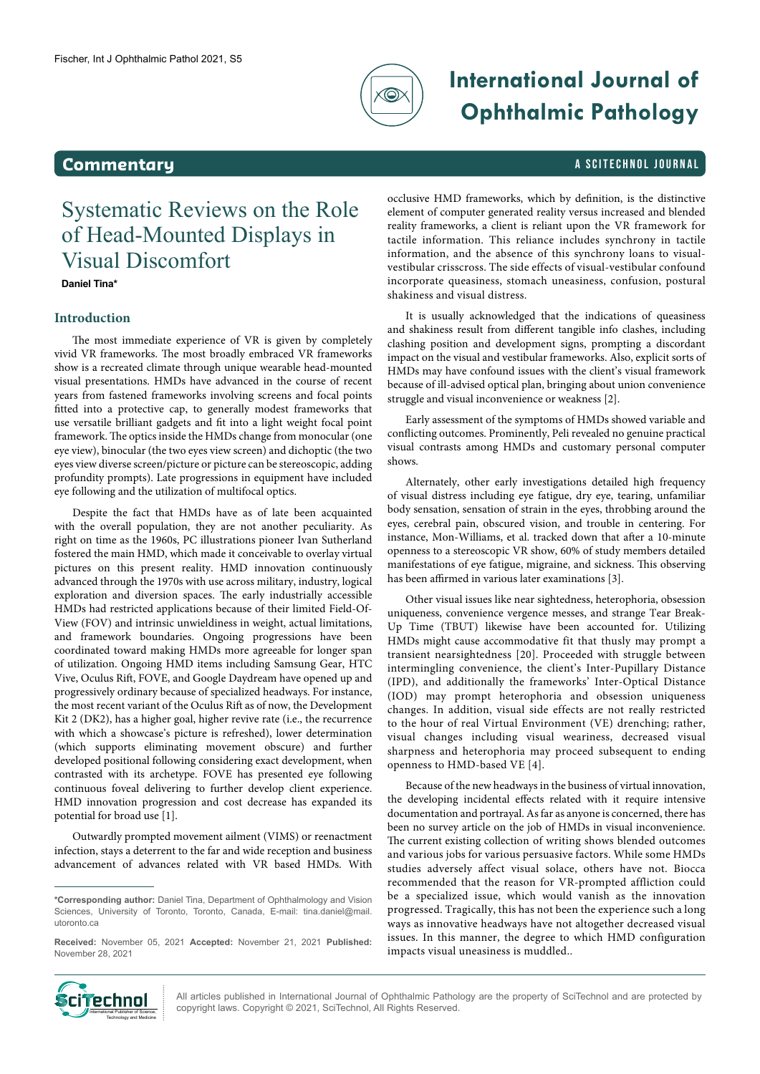

# **International Journal of Ophthalmic Pathology**

### **Commentary A SCITECHNOL JOURNAL**

## Systematic Reviews on the Role of Head-Mounted Displays in Visual Discomfort

**Daniel Tina\***

### **Introduction**

The most immediate experience of VR is given by completely vivid VR frameworks. The most broadly embraced VR frameworks show is a recreated climate through unique wearable head-mounted visual presentations. HMDs have advanced in the course of recent years from fastened frameworks involving screens and focal points fitted into a protective cap, to generally modest frameworks that use versatile brilliant gadgets and fit into a light weight focal point framework. The optics inside the HMDs change from monocular (one eye view), binocular (the two eyes view screen) and dichoptic (the two eyes view diverse screen/picture or picture can be stereoscopic, adding profundity prompts). Late progressions in equipment have included eye following and the utilization of multifocal optics.

Despite the fact that HMDs have as of late been acquainted with the overall population, they are not another peculiarity. As right on time as the 1960s, PC illustrations pioneer Ivan Sutherland fostered the main HMD, which made it conceivable to overlay virtual pictures on this present reality. HMD innovation continuously advanced through the 1970s with use across military, industry, logical exploration and diversion spaces. The early industrially accessible HMDs had restricted applications because of their limited Field-Of-View (FOV) and intrinsic unwieldiness in weight, actual limitations, and framework boundaries. Ongoing progressions have been coordinated toward making HMDs more agreeable for longer span of utilization. Ongoing HMD items including Samsung Gear, HTC Vive, Oculus Rift, FOVE, and Google Daydream have opened up and progressively ordinary because of specialized headways. For instance, the most recent variant of the Oculus Rift as of now, the Development Kit 2 (DK2), has a higher goal, higher revive rate (i.e., the recurrence with which a showcase's picture is refreshed), lower determination (which supports eliminating movement obscure) and further developed positional following considering exact development, when contrasted with its archetype. FOVE has presented eye following continuous foveal delivering to further develop client experience. HMD innovation progression and cost decrease has expanded its potential for broad use [1].

Outwardly prompted movement ailment (VIMS) or reenactment infection, stays a deterrent to the far and wide reception and business advancement of advances related with VR based HMDs. With occlusive HMD frameworks, which by definition, is the distinctive element of computer generated reality versus increased and blended reality frameworks, a client is reliant upon the VR framework for tactile information. This reliance includes synchrony in tactile information, and the absence of this synchrony loans to visualvestibular crisscross. The side effects of visual-vestibular confound incorporate queasiness, stomach uneasiness, confusion, postural shakiness and visual distress.

It is usually acknowledged that the indications of queasiness and shakiness result from different tangible info clashes, including clashing position and development signs, prompting a discordant impact on the visual and vestibular frameworks. Also, explicit sorts of HMDs may have confound issues with the client's visual framework because of ill-advised optical plan, bringing about union convenience struggle and visual inconvenience or weakness [2].

Early assessment of the symptoms of HMDs showed variable and conflicting outcomes. Prominently, Peli revealed no genuine practical visual contrasts among HMDs and customary personal computer shows.

Alternately, other early investigations detailed high frequency of visual distress including eye fatigue, dry eye, tearing, unfamiliar body sensation, sensation of strain in the eyes, throbbing around the eyes, cerebral pain, obscured vision, and trouble in centering. For instance, Mon-Williams, et al. tracked down that after a 10-minute openness to a stereoscopic VR show, 60% of study members detailed manifestations of eye fatigue, migraine, and sickness. This observing has been affirmed in various later examinations [3].

Other visual issues like near sightedness, heterophoria, obsession uniqueness, convenience vergence messes, and strange Tear Break-Up Time (TBUT) likewise have been accounted for. Utilizing HMDs might cause accommodative fit that thusly may prompt a transient nearsightedness [20]. Proceeded with struggle between intermingling convenience, the client's Inter-Pupillary Distance (IPD), and additionally the frameworks' Inter-Optical Distance (IOD) may prompt heterophoria and obsession uniqueness changes. In addition, visual side effects are not really restricted to the hour of real Virtual Environment (VE) drenching; rather, visual changes including visual weariness, decreased visual sharpness and heterophoria may proceed subsequent to ending openness to HMD-based VE [4].

Because of the new headways in the business of virtual innovation, the developing incidental effects related with it require intensive documentation and portrayal. As far as anyone is concerned, there has been no survey article on the job of HMDs in visual inconvenience. The current existing collection of writing shows blended outcomes and various jobs for various persuasive factors. While some HMDs studies adversely affect visual solace, others have not. Biocca recommended that the reason for VR-prompted affliction could be a specialized issue, which would vanish as the innovation progressed. Tragically, this has not been the experience such a long ways as innovative headways have not altogether decreased visual issues. In this manner, the degree to which HMD configuration impacts visual uneasiness is muddled..



All articles published in International Journal of Ophthalmic Pathology are the property of SciTechnol and are protected by **COHOL FRIGHTS AND ACTES AND ACTES AND ACTES AND ACTES AND ACTES INTERNATIONAL PROPERTY OF SCITE CONTRACTES IN**<br>International Property Copyright laws. Copyright © 2021, SciTechnol, All Rights Reserved.

**<sup>\*</sup>Corresponding author:** Daniel Tina, Department of Ophthalmology and Vision Sciences, University of Toronto, Toronto, Canada, E-mail: tina.daniel@mail. utoronto.ca

**Received:** November 05, 2021 **Accepted:** November 21, 2021 **Published:** November 28, 2021